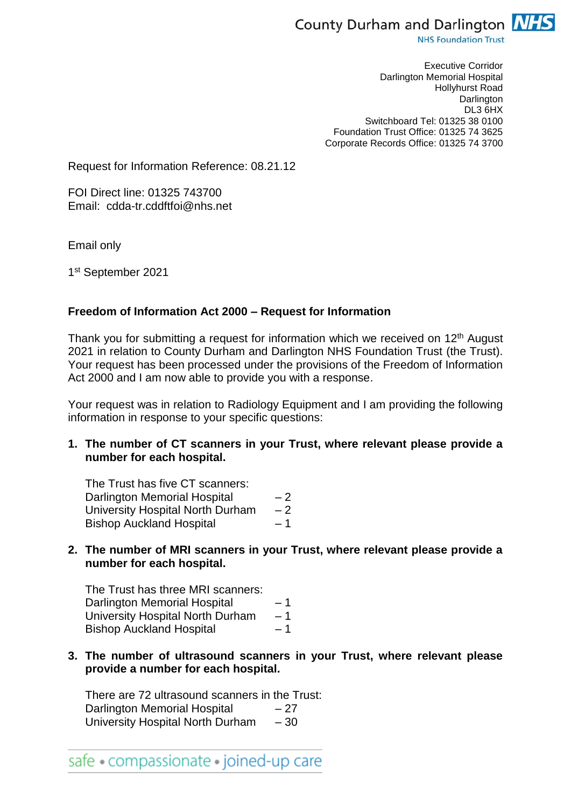

**NHS Foundation Trust** 

Executive Corridor Darlington Memorial Hospital Hollyhurst Road **Darlington** DL3 6HX Switchboard Tel: 01325 38 0100 Foundation Trust Office: 01325 74 3625 Corporate Records Office: 01325 74 3700

Request for Information Reference: 08.21.12

FOI Direct line: 01325 743700 Email: cdda-tr.cddftfoi@nhs.net

Email only

1st September 2021

## **Freedom of Information Act 2000 – Request for Information**

Thank you for submitting a request for information which we received on 12<sup>th</sup> August 2021 in relation to County Durham and Darlington NHS Foundation Trust (the Trust). Your request has been processed under the provisions of the Freedom of Information Act 2000 and I am now able to provide you with a response.

Your request was in relation to Radiology Equipment and I am providing the following information in response to your specific questions:

**1. The number of CT scanners in your Trust, where relevant please provide a number for each hospital.**

The Trust has five CT scanners: Darlington Memorial Hospital  $-2$ University Hospital North Durham – 2 Bishop Auckland Hospital – 1

**2. The number of MRI scanners in your Trust, where relevant please provide a number for each hospital.**

The Trust has three MRI scanners: Darlington Memorial Hospital – 1 University Hospital North Durham – 1 Bishop Auckland Hospital – 1

**3. The number of ultrasound scanners in your Trust, where relevant please provide a number for each hospital.**

There are 72 ultrasound scanners in the Trust: Darlington Memorial Hospital – 27 University Hospital North Durham – 30

safe • compassionate • joined-up care